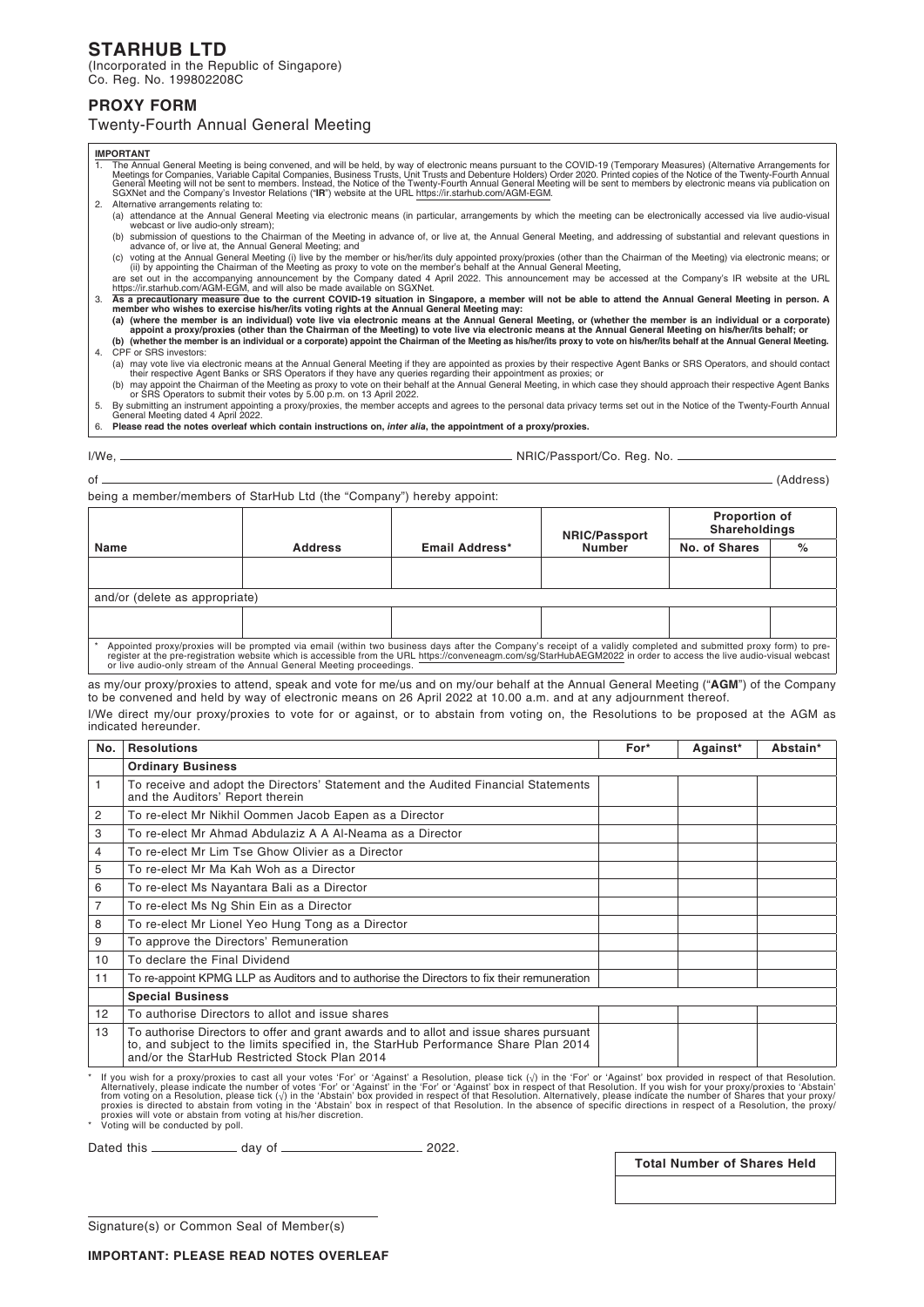# **STARHUB LTD**

(Incorporated in the Republic of Singapore) Co. Reg. No. 199802208C

## **PROXY FORM**

## Twenty-Fourth Annual General Meeting

#### **IMPORTANT**

- 1. The Annual General Meeting is being convened, and will be held, by way of electronic means pursuant to the COVID-19 (Temporary Measures) (Alternative Arrangements for<br>Meetings for Companies, Variable Capital Companies,
	-
	- webcast or live Amual General Meeting via electronic means (in particular, arrangements by which the meeting can be electronically accessed via live audio-visual<br>(b) submission of questions to the Chairman of the Meeting i
	-
	-
- As a precautionary measure due to the current COVID-19 situation in Singapore, a member will not be able to attend the Annual General Meeting in person. A<br>(a) (where the member is an individual) vote live via electronic me
- **(b) (whether the member is an individual or a corporate) appoint the Chairman of the Meeting as his/her/its proxy to vote on his/her/its behalf at the Annual General Meeting.** 4. CPF or SRS investors:
	-
- (a) may vote live via electronic means at the Annual General Meeting if they are appointed as proxies by their respective Agent Banks or SRS Operators, and should contact<br>their respective Agent Banks or SRS Operators if th
- 
- 6. **Please read the notes overleaf which contain instructions on,** *inter alia***, the appointment of a proxy/proxies.**

### I/We, NRIC/Passport/Co. Reg. No.

of (Address)

being a member/members of StarHub Ltd (the "Company") hereby appoint:

| Name                                                                                                                                                                                                                                                                                                      | <b>Address</b> | Email Address* | <b>NRIC/Passport</b><br><b>Number</b> | <b>Proportion of</b><br>Shareholdings |   |  |  |  |
|-----------------------------------------------------------------------------------------------------------------------------------------------------------------------------------------------------------------------------------------------------------------------------------------------------------|----------------|----------------|---------------------------------------|---------------------------------------|---|--|--|--|
|                                                                                                                                                                                                                                                                                                           |                |                |                                       | No. of Shares                         | % |  |  |  |
|                                                                                                                                                                                                                                                                                                           |                |                |                                       |                                       |   |  |  |  |
| and/or (delete as appropriate)                                                                                                                                                                                                                                                                            |                |                |                                       |                                       |   |  |  |  |
|                                                                                                                                                                                                                                                                                                           |                |                |                                       |                                       |   |  |  |  |
| Appointed proxy/proxies will be prompted via email (within two business days after the Company's receipt of a validly completed and submitted proxy form) to pre-<br>register at the pre-registration website which is accessible<br>or live audio-only stream of the Annual General Meeting proceedings. |                |                |                                       |                                       |   |  |  |  |

as my/our proxy/proxies to attend, speak and vote for me/us and on my/our behalf at the Annual General Meeting ("**AGM**") of the Company to be convened and held by way of electronic means on 26 April 2022 at 10.00 a.m. and at any adjournment thereof. I/We direct my/our proxy/proxies to vote for or against, or to abstain from voting on, the Resolutions to be proposed at the AGM as indicated hereunder.

| No. | <b>Resolutions</b>                                                                                                                                                                                                              | For* | Against* | Abstain* |  |  |
|-----|---------------------------------------------------------------------------------------------------------------------------------------------------------------------------------------------------------------------------------|------|----------|----------|--|--|
|     | <b>Ordinary Business</b>                                                                                                                                                                                                        |      |          |          |  |  |
| 1   | To receive and adopt the Directors' Statement and the Audited Financial Statements<br>and the Auditors' Report therein                                                                                                          |      |          |          |  |  |
| 2   | To re-elect Mr Nikhil Oommen Jacob Eapen as a Director                                                                                                                                                                          |      |          |          |  |  |
| 3   | To re-elect Mr Ahmad Abdulaziz A A Al-Neama as a Director                                                                                                                                                                       |      |          |          |  |  |
| 4   | To re-elect Mr Lim Tse Ghow Olivier as a Director                                                                                                                                                                               |      |          |          |  |  |
| 5   | To re-elect Mr Ma Kah Woh as a Director                                                                                                                                                                                         |      |          |          |  |  |
| 6   | To re-elect Ms Nayantara Bali as a Director                                                                                                                                                                                     |      |          |          |  |  |
| 7   | To re-elect Ms Ng Shin Ein as a Director                                                                                                                                                                                        |      |          |          |  |  |
| 8   | To re-elect Mr Lionel Yeo Hung Tong as a Director                                                                                                                                                                               |      |          |          |  |  |
| 9   | To approve the Directors' Remuneration                                                                                                                                                                                          |      |          |          |  |  |
| 10  | To declare the Final Dividend                                                                                                                                                                                                   |      |          |          |  |  |
| 11  | To re-appoint KPMG LLP as Auditors and to authorise the Directors to fix their remuneration                                                                                                                                     |      |          |          |  |  |
|     | <b>Special Business</b>                                                                                                                                                                                                         |      |          |          |  |  |
| 12  | To authorise Directors to allot and issue shares                                                                                                                                                                                |      |          |          |  |  |
| 13  | To authorise Directors to offer and grant awards and to allot and issue shares pursuant<br>to, and subject to the limits specified in, the StarHub Performance Share Plan 2014<br>and/or the StarHub Restricted Stock Plan 2014 |      |          |          |  |  |

flyou wish for a proxy/proxies to cast all your votes 'For' or 'Against' a Resolution, please tick ( $\sqrt{ }$ ) in the 'For' or 'Against' box provided in respect of that Resolution.<br>Alternatively, please indicate the number of

Dated this day of 2022.

**Total Number of Shares Held**

Signature(s) or Common Seal of Member(s)